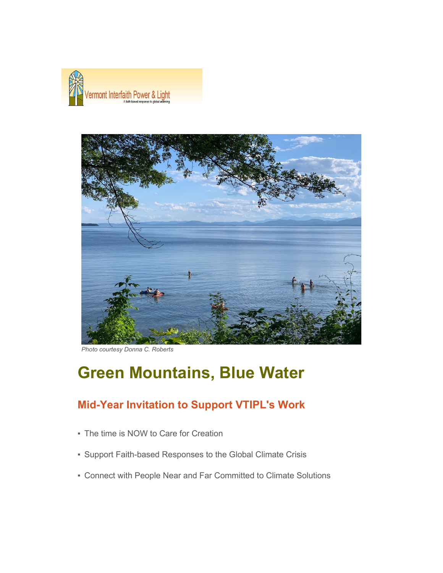



*Photo courtesy Donna C. Roberts*

# **Green Mountains, Blue Water**

# **Mid-Year Invitation to Support VTIPL's Work**

- **The time is NOW to Care for Creation**
- Support Faith-based Responses to the Global Climate Crisis
- Connect with People Near and Far Committed to Climate Solutions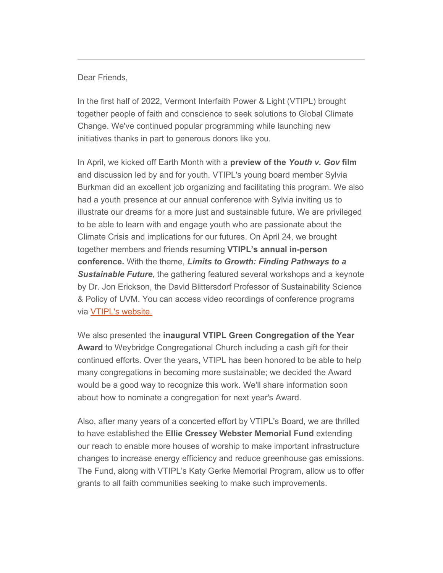#### Dear Friends,

In the first half of 2022, Vermont Interfaith Power & Light (VTIPL) brought together people of faith and conscience to seek solutions to Global Climate Change. We've continued popular programming while launching new initiatives thanks in part to generous donors like you.

In April, we kicked off Earth Month with a **preview of the** *Youth v. Gov* **film** and discussion led by and for youth. VTIPL's young board member Sylvia Burkman did an excellent job organizing and facilitating this program. We also had a youth presence at our annual conference with Sylvia inviting us to illustrate our dreams for a more just and sustainable future. We are privileged to be able to learn with and engage youth who are passionate about the Climate Crisis and implications for our futures. On April 24, we brought together members and friends resuming **VTIPL's annual in-person conference.** With the theme, *Limits to Growth: Finding Pathways to a Sustainable Future*, the gathering featured several workshops and a keynote by Dr. Jon Erickson, the David Blittersdorf Professor of Sustainability Science & Policy of UVM. You can access video recordings of conference programs via [VTIPL's website.](https://sable.godaddy.com/c/59359?id=69894.1843.1.37b2dce496c73986ee0fd5e3de62a94c)

We also presented the **inaugural VTIPL Green Congregation of the Year Award** to Weybridge Congregational Church including a cash gift for their continued efforts. Over the years, VTIPL has been honored to be able to help many congregations in becoming more sustainable; we decided the Award would be a good way to recognize this work. We'll share information soon about how to nominate a congregation for next year's Award.

Also, after many years of a concerted effort by VTIPL's Board, we are thrilled to have established the **Ellie Cressey Webster Memorial Fund** extending our reach to enable more houses of worship to make important infrastructure changes to increase energy efficiency and reduce greenhouse gas emissions. The Fund, along with VTIPL's Katy Gerke Memorial Program, allow us to offer grants to all faith communities seeking to make such improvements.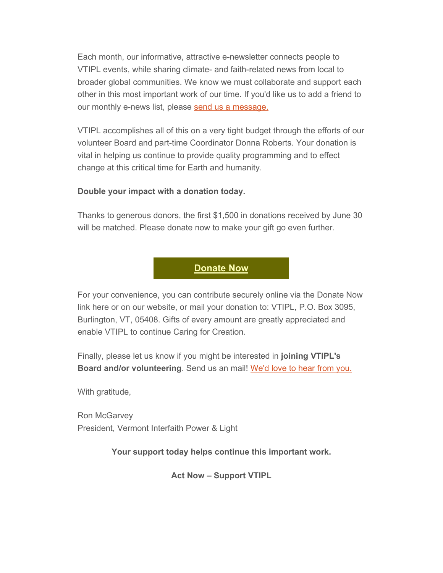Each month, our informative, attractive e-newsletter connects people to VTIPL events, while sharing climate- and faith-related news from local to broader global communities. We know we must collaborate and support each other in this most important work of our time. If you'd like us to add a friend to our monthly e-news list, please [send us a message.](mailto:info@vtipl.org)

VTIPL accomplishes all of this on a very tight budget through the efforts of our volunteer Board and part-time Coordinator Donna Roberts. Your donation is vital in helping us continue to provide quality programming and to effect change at this critical time for Earth and humanity.

### **Double your impact with a donation today.**

Thanks to generous donors, the first \$1,500 in donations received by June 30 will be matched. Please donate now to make your gift go even further.



For your convenience, you can contribute securely online via the Donate Now link here or on our website, or mail your donation to: VTIPL, P.O. Box 3095, Burlington, VT, 05408. Gifts of every amount are greatly appreciated and enable VTIPL to continue Caring for Creation.

Finally, please let us know if you might be interested in **joining VTIPL's Board and/or volunteering**. Send us an mail! [We'd love to hear from you.](mailto:info@vtipl.org)

With gratitude,

Ron McGarvey President, Vermont Interfaith Power & Light

**Your support today helps continue this important work.**

**Act Now – Support VTIPL**